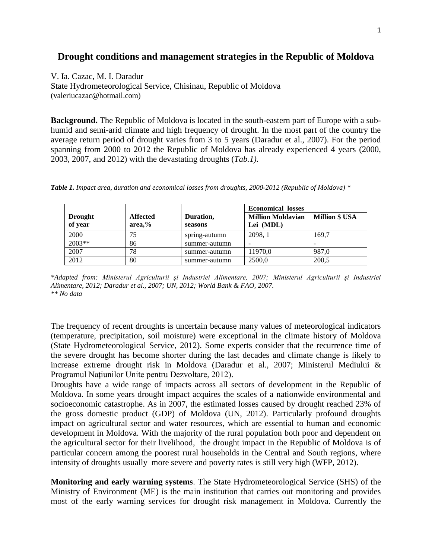## **Drought conditions and management strategies in the Republic of Moldova**

V. Ia. Cazac, M. I. Daradur

State Hydrometeorological Service, Chisinau, Republic of Moldova (valeriucazac@hotmail.com)

**Background.** The Republic of Moldova is located in the south-eastern part of Europe with a subhumid and semi-arid climate and high frequency of drought. In the most part of the country the average return period of drought varies from 3 to 5 years (Daradur et al., 2007). For the period spanning from 2000 to 2012 the Republic of Moldova has already experienced 4 years (2000, 2003, 2007, and 2012) with the devastating droughts (*Tab.1).*

*Table 1. Impact area, duration and economical losses from droughts, 2000-2012 (Republic of Moldova) \**

|                           |                           |                      | <b>Economical losses</b>              |                       |
|---------------------------|---------------------------|----------------------|---------------------------------------|-----------------------|
| <b>Drought</b><br>of year | <b>Affected</b><br>area,% | Duration,<br>seasons | <b>Million Moldavian</b><br>Lei (MDL) | <b>Million \$ USA</b> |
| 2000                      | 75                        | spring-autumn        | 2098.1                                | 169.7                 |
| 2003**                    | 86                        | summer-autumn        |                                       |                       |
| 2007                      | 78                        | summer-autumn        | 11970,0                               | 987,0                 |
| 2012                      | 80                        | summer-autumn        | 2500,0                                | 200,5                 |

*\*Adapted from: Ministerul Agriculturii şi Industriei Alimentare, 2007; Ministerul Agriculturii şi Industriei Alimentare, 2012; Daradur et al., 2007; UN, 2012; World Bank & FAO, 2007. \*\* No data*

The frequency of recent droughts is uncertain because many values of meteorological indicators (temperature, precipitation, soil moisture) were exceptional in the climate history of Moldova (State Hydrometeorological Service, 2012). Some experts consider that the recurrence time of the severe drought has become shorter during the last decades and climate change is likely to increase extreme drought risk in Moldova (Daradur et al., 2007; Ministerul Mediului & Programul Naţiunilor Unite pentru Dezvoltare, 2012).

Droughts have a wide range of impacts across all sectors of development in the Republic of Moldova. In some years drought impact acquires the scales of a nationwide environmental and socioeconomic catastrophe. As in 2007, the estimated losses caused by drought reached 23% of the gross domestic product (GDP) of Moldova (UN, 2012). Particularly profound droughts impact on agricultural sector and water resources, which are essential to human and economic development in Moldova. With the majority of the rural population both poor and dependent on the agricultural sector for their livelihood, the drought impact in the Republic of Moldova is of particular concern among the poorest rural households in the Central and South regions, where intensity of droughts usually more severe and poverty rates is still very high (WFP, 2012).

**Monitoring and early warning systems**. The State Hydrometeorological Service (SHS) of the Ministry of Environment (ME) is the main institution that carries out monitoring and provides most of the early warning services for drought risk management in Moldova. Currently the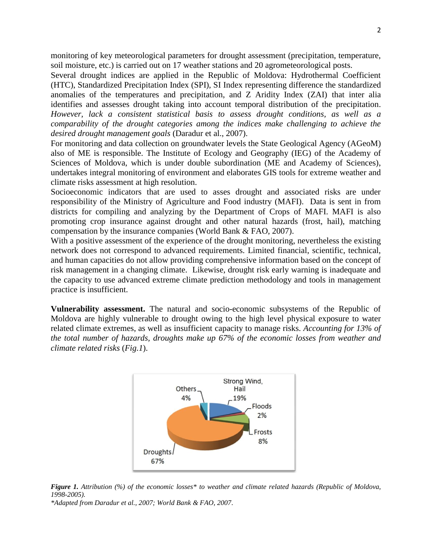monitoring of key meteorological parameters for drought assessment (precipitation, temperature, soil moisture, etc.) is carried out on 17 weather stations and 20 agrometeorological posts.

Several drought indices are applied in the Republic of Moldova: Hydrothermal Coefficient (HTC), Standardized Precipitation Index (SPI), SI Index representing difference the standardized anomalies of the temperatures and precipitation, and Z Aridity Index (ZAI) that inter alia identifies and assesses drought taking into account temporal distribution of the precipitation. *However, lack a consistent statistical basis to assess drought conditions, as well as a comparability of the drought categories among the indices make challenging to achieve the desired drought management goals* (Daradur et al., 2007).

For monitoring and data collection on groundwater levels the State Geological Agency (AGeoM) also of ME is responsible. The Institute of Ecology and Geography (IEG) of the Academy of Sciences of Moldova, which is under double subordination (ME and Academy of Sciences), undertakes integral monitoring of environment and elaborates GIS tools for extreme weather and climate risks assessment at high resolution.

Socioeconomic indicators that are used to asses drought and associated risks are under responsibility of the Ministry of Agriculture and Food industry (MAFI). Data is sent in from districts for compiling and analyzing by the Department of Crops of MAFI. MAFI is also promoting crop insurance against drought and other natural hazards (frost, hail), matching compensation by the insurance companies (World Bank & FAO, 2007).

With a positive assessment of the experience of the drought monitoring, nevertheless the existing network does not correspond to advanced requirements. Limited financial, scientific, technical, and human capacities do not allow providing comprehensive information based on the concept of risk management in a changing climate. Likewise, drought risk early warning is inadequate and the capacity to use advanced extreme climate prediction methodology and tools in management practice is insufficient.

**Vulnerability assessment.** The natural and socio-economic subsystems of the Republic of Moldova are highly vulnerable to drought owing to the high level physical exposure to water related climate extremes, as well as insufficient capacity to manage risks. *Accounting for 13% of the total number of hazards, droughts make up 67% of the economic losses from weather and climate related risks* (*Fig.1*).



*Figure 1. Attribution (%) of the economic losses\* to weather and climate related hazards (Republic of Moldova, 1998-2005).*

*\*Adapted from Daradur et al., 2007; World Bank & FAO, 2007*.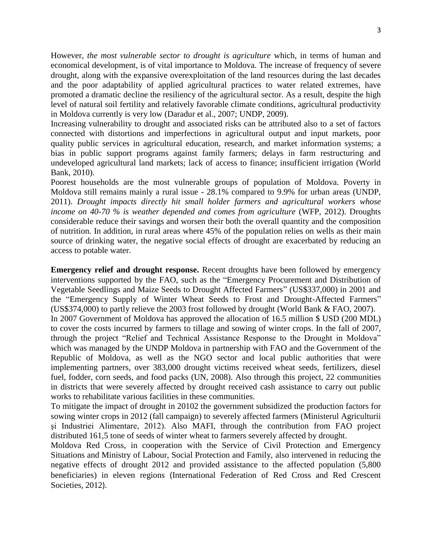However, *the most vulnerable sector to drought is agriculture* which, in terms of human and economical development, is of vital importance to Moldova. The increase of frequency of severe drought, along with the expansive overexploitation of the land resources during the last decades and the poor adaptability of applied agricultural practices to water related extremes, have promoted a dramatic decline the resiliency of the agricultural sector. As a result, despite the high level of natural soil fertility and relatively favorable climate conditions, agricultural productivity in Moldova currently is very low (Daradur et al., 2007; UNDP, 2009).

Increasing vulnerability to drought and associated risks can be attributed also to a set of factors connected with distortions and imperfections in agricultural output and input markets, poor quality public services in agricultural education, research, and market information systems; a bias in public support programs against family farmers; delays in farm restructuring and undeveloped agricultural land markets; lack of access to finance; insufficient irrigation (World Bank, 2010).

Poorest households are the most vulnerable groups of population of Moldova. Poverty in Moldova still remains mainly a rural issue - 28.1% compared to 9.9% for urban areas (UNDP, 2011). *Drought impacts directly hit small holder farmers and agricultural workers whose income on 40-70 % is weather depended and comes from agriculture* (WFP, 2012). Droughts considerable reduce their savings and worsen their both the overall quantity and the composition of nutrition. In addition, in rural areas where 45% of the population relies on wells as their main source of drinking water, the negative social effects of drought are exacerbated by reducing an access to potable water.

**Emergency relief and drought response.** Recent droughts have been followed by emergency interventions supported by the FAO, such as the "Emergency Procurement and Distribution of Vegetable Seedlings and Maize Seeds to Drought Affected Farmers" (US\$337,000) in 2001 and the "Emergency Supply of Winter Wheat Seeds to Frost and Drought-Affected Farmers" (US\$374,000) to partly relieve the 2003 frost followed by drought (World Bank & FAO, 2007). In 2007 Government of Moldova has approved the allocation of 16.5 million \$ USD (200 MDL) to cover the costs incurred by farmers to tillage and sowing of winter crops. In the fall of 2007, through the project "Relief and Technical Assistance Response to the Drought in Moldova" which was managed by the UNDP Moldova in partnership with FAO and the Government of the Republic of Moldova, as well as the NGO sector and local public authorities that were implementing partners, over 383,000 drought victims received wheat seeds, fertilizers, diesel fuel, fodder, corn seeds, and food packs (UN, 2008). Also through this project, 22 communities in districts that were severely affected by drought received cash assistance to carry out public works to rehabilitate various facilities in these communities.

To mitigate the impact of drought in 20102 the government subsidized the production factors for sowing winter crops in 2012 (fall campaign) to severely affected farmers (Ministerul Agriculturii şi Industriei Alimentare, 2012). Also MAFI, through the contribution from FAO project distributed 161,5 tone of seeds of winter wheat to farmers severely affected by drought.

Moldova Red Cross, in cooperation with the Service of Civil Protection and Emergency Situations and Ministry of Labour, Social Protection and Family, also intervened in reducing the negative effects of drought 2012 and provided assistance to the affected population (5,800 beneficiaries) in eleven regions (International Federation of Red Cross and Red Crescent Societies, 2012).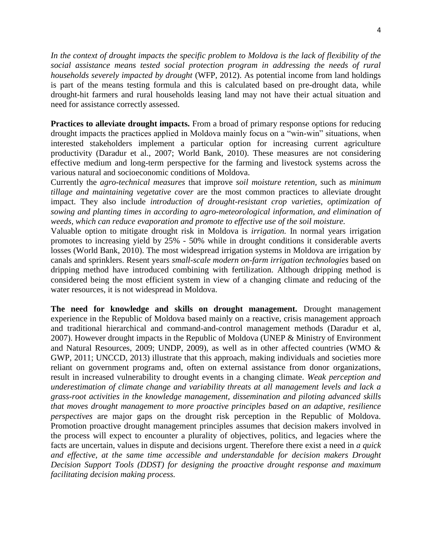*In the context of drought impacts the specific problem to Moldova is the lack of flexibility of the social assistance means tested social protection program in addressing the needs of rural households severely impacted by drought* (WFP, 2012). As potential income from land holdings is part of the means testing formula and this is calculated based on pre-drought data, while drought-hit farmers and rural households leasing land may not have their actual situation and need for assistance correctly assessed.

**Practices to alleviate drought impacts.** From a broad of primary response options for reducing drought impacts the practices applied in Moldova mainly focus on a "win-win" situations, when interested stakeholders implement a particular option for increasing current agriculture productivity (Daradur et al., 2007; World Bank, 2010). These measures are not considering effective medium and long-term perspective for the farming and livestock systems across the various natural and socioeconomic conditions of Moldova.

Currently the *agro-technical measures* that improve *soil moisture retention,* such as *minimum tillage and maintaining vegetative cover* are the most common practices to alleviate drought impact. They also include *introduction of drought-resistant crop varieties, optimization of sowing and planting times in according to agro-meteorological information, and elimination of weeds, which can reduce evaporation and promote to effective use of the soil moisture.* 

Valuable option to mitigate drought risk in Moldova is *irrigation.* In normal years irrigation promotes to increasing yield by 25% - 50% while in drought conditions it considerable averts losses (World Bank, 2010). The most widespread irrigation systems in Moldova are irrigation by canals and sprinklers. Resent years *small-scale modern on-farm irrigation technologies* based on dripping method have introduced combining with fertilization. Although dripping method is considered being the most efficient system in view of a changing climate and reducing of the water resources, it is not widespread in Moldova.

**The need for knowledge and skills on drought management.** Drought management experience in the Republic of Moldova based mainly on a reactive, crisis management approach and traditional hierarchical and command-and-control management methods (Daradur et al, 2007). However drought impacts in the Republic of Moldova (UNEP & Ministry of Environment and Natural Resources, 2009; UNDP, 2009), as well as in other affected countries (WMO & GWP, 2011; UNCCD, 2013) illustrate that this approach, making individuals and societies more reliant on government programs and, often on external assistance from donor organizations, result in increased vulnerability to drought events in a changing climate. *Weak perception and underestimation of climate change and variability threats at all management levels and lack a grass-root activities in the knowledge management, dissemination and piloting advanced skills that moves drought management to more proactive principles based on an adaptive, resilience perspectives* are major gaps on the drought risk perception in the Republic of Moldova. Promotion proactive drought management principles assumes that decision makers involved in the process will expect to encounter a plurality of objectives, politics, and legacies where the facts are uncertain, values in dispute and decisions urgent. Therefore there exist a need in *a quick and effective, at the same time accessible and understandable for decision makers Drought Decision Support Tools (DDST) for designing the proactive drought response and maximum facilitating decision making process.*